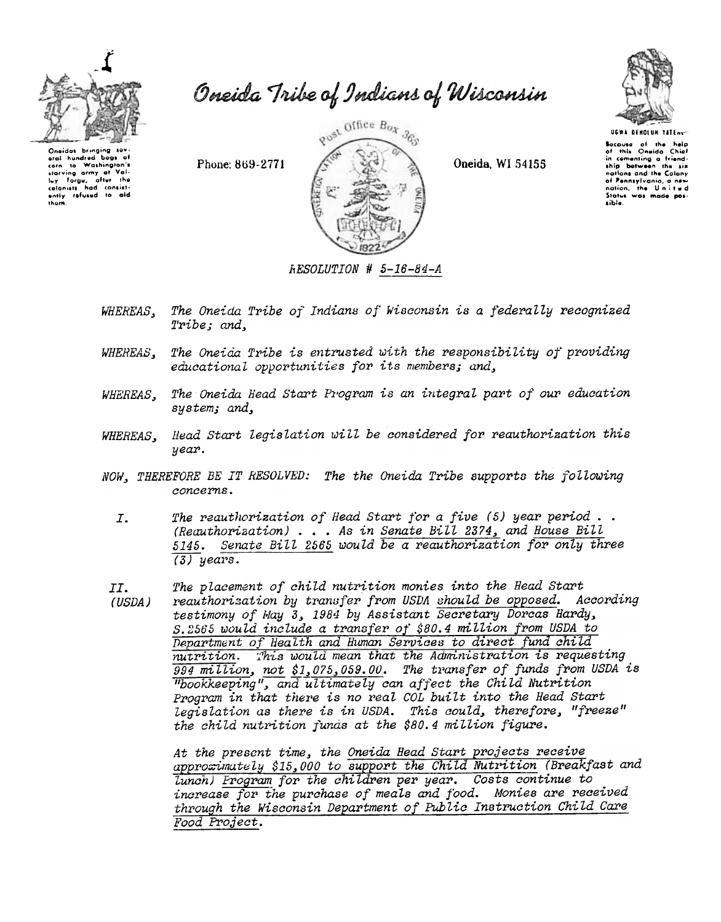

Oneida Tribe of Indians of Wisconsin

Oneidas bringing sev oral hundred boos corn to Washington's<br>starving army at Vali-<br>luy Forgu, after the<br>cloniatt had consist-<br>ently refused to aid<br>them.  $\epsilon$ to Washington's

Phone: 869-2771



Oneida, WI 54155



UGWA DENOLUN TATENC Socause of the help<br>of this Oneida Chief in comenting a friend-<br>ship between the six<br>nations and the Colony of Pennsylvania, a new<br>nation, the United<br>Status was made possible.

RESOLUTION # 5-16-84-A

- The Oneida Tribe of Indians of Wisconsin is a federally recognized WHEREAS, Tribe; and,
- The Oneida Tribe is entrusted with the responsibility of providing WHEREAS, educational opportunities for its members; and,
- The Oneida Head Start Program is an integral part of our education WHEREAS, system; and,
- Head Start legislation will be considered for reauthorization this WHEREAS, year.
- NOW, THEREFORE BE IT RESOLVED: The the Oneida Tribe supports the following concerns.
	- The reauthorization of Head Start for a five  $(5)$  year period..  $I.$ (Reauthorization) . . . As in Senate Bill 2374, and House Bill Senate Bill 2565 would be a reauthorization for only three 5145.  $(3)$  years.
- The placement of child nutrition monies into the Head Start  $TT.$
- reauthorisation by transfer from USDA should be opposed. According (USDA) testimony of May 3, 1984 by Assistant Secretary Dorcas Hardy, S. 2565 would include a transfer of \$80.4 million from USDA to Department of Health and Human Services to direct fund child nutrition. This would mean that the Administration is requesting  $994$  million, not \$1,075,059.00. The transfer of funds from USDA is "bookkeeping", and ultimately can affect the Child Nutrition Program in that there is no real COL built into the Head Start legislation as there is in USDA. This could, therefore, "freeze" the child nutrition funds at the \$80.4 million figure.

At the present time, the Oneida Head Start projects receive approximately \$15,000 to support the Child Nutrition (Breakfast and lunch) Program for the children per year. Costs continue to increase for the purchase of meals and food. Monies are received through the Wisconsin Department of Public Instruction Child Care Food Project.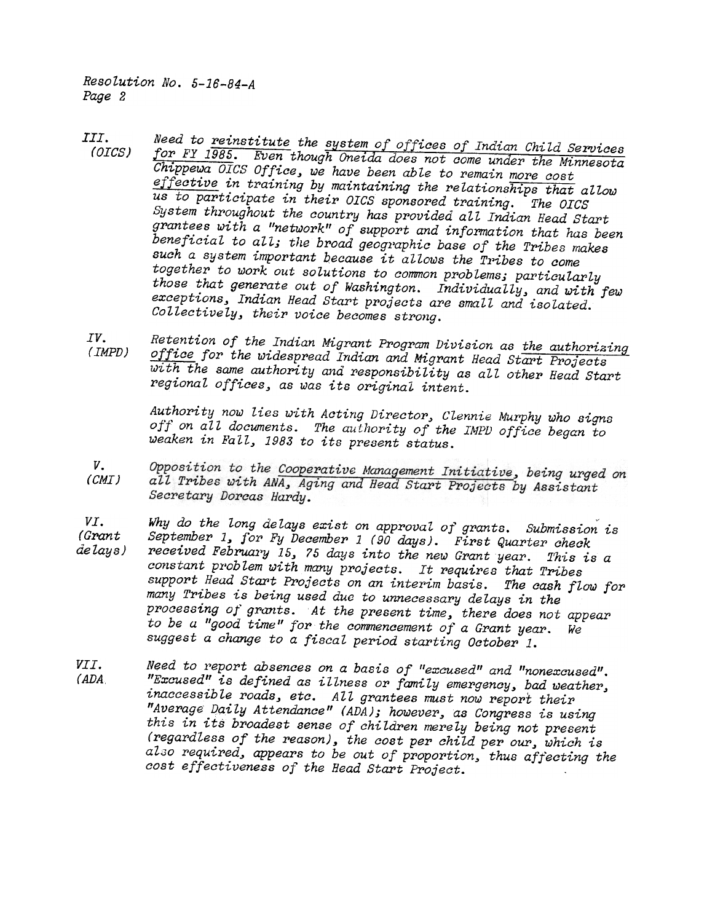Resolution No. 5-16-84-A Page 2

- Need to <u>reinstitut</u>e the system of offices of Indian Child Services III. (OICS) for FY 1985. Even though Oneida does not come under the Minnesota  $Chippewa$  OICS Office, we have been able to remain more cost effective in training by maintaining the relationships that allow us to participate in their OICS sponsored training. The OICS System throughout the country has provided all Indian Head Start grantees with a "network" of support and information that has been beneficial to all; the broad geographic base of the Tribes makes such a system important because it allows the Tribes to come together to work out solutions to common problems; particularly those that generate out of Washington. Individually, and with few exceptions, Indian Head Start projects are small and isolated. Collectively, their voice becomes strong.
- IV. (IMPD) Retention of the Indian Migrant Program Division as the authorizing office for the widespread Indian and Migrant Head Start Projects with the same authority and responsibility as all other Head Start regional offices, as was its original intent.

Authority now lies with Acting Director, Clennie Murphy who signs off on all documents. The authority of the IMPD office began to weaken in Fall, 1983 to its present status.

- Opposition to the Cooperative Management Initiative, being urged on v. (CMI) all Tribes with ANA, Aging and Head Start Projects by Assistant Secretary Dorcas Hardy.
- VI. (Grant delays) Why do the long delays exist on approval of grants. Submission is September 1, for Fy December 1 (90 days). First Quarter check received February 15, 75 days into the new Grant year. This is a constant problem with many projects. It requires that Tribes support Head Start Projects on an interim basis. The cash flow for many Tpibes is being used due to unnecessapy delays in the processing of grants. At the present time, there does not appear to be a "good time" for the commencement of a Grant year. We suggest a change to a fiscal period starting October 1.
- Need to report absences on a basis of "excused" and "nonexcused". VII. "Excused" is defined as illness or family emergency, bad weather, (ADA inaccessible roads, etc. All grantees must now report their "Average Daily Attendance" (ADA); however, as Congress is using this in its broadest sense of children merely being not present  $(regardless of the reason)$ , the cost per child per our, which is also required, appears to be out of proportion, thus affecting the cost effectiveness of the Head Start Project.